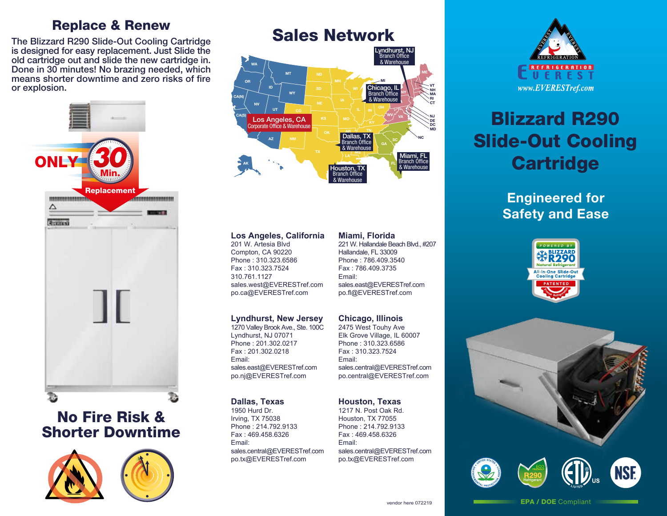## Replace & Renew

The Blizzard R290 Slide-Out Cooling Cartridge is designed for easy replacement. Just Slide the old cartridge out and slide the new cartridge in. Done in 30 minutes! No brazing needed, which means shorter downtime and zero risks of fire or explosion.



## No Fire Risk & Shorter Downtime





## Sales Network



#### **Los Angeles, California**

201 W. Artesia Blvd Compton, CA 90220 Phone : 310.323.6586 Fax : 310.323.7524 310.761.1127 sales.west@EVERESTref.com po.ca@EVERESTref.com

#### **Lyndhurst, New Jersey**

1270 Valley Brook Ave., Ste. 100C Lyndhurst, NJ 07071 Phone : 201.302.0217 Fax : 201.302.0218 Email: sales.east@EVERESTref.com po.nj@EVERESTref.com

#### **Dallas, Texas**

1950 Hurd Dr. Irving, TX 75038 Phone : 214.792.9133 Fax : 469.458.6326 Email: sales.central@EVERESTref.com po.tx@EVERESTref.com

### **Miami, Florida**

221 W. Hallandale Beach Blvd., #207 Hallandale, FL 33009 Phone : 786.409.3540 Fax : 786.409.3735 Email: sales.east@EVERESTref.com po.fl@EVERESTref.com

#### **Chicago, Illinois**

2475 West Touhy Ave Elk Grove Village, IL 60007 Phone : 310.323.6586 Fax : 310.323.7524 Email: sales.central@EVERESTref.com po.central@EVERESTref.com

#### **Houston, Texas**

1217 N. Post Oak Rd. Houston, TX 77055 Phone : 214.792.9133 Fax : 469.458.6326 Email: sales.central@EVERESTref.com po.tx@EVERESTref.com



## **Blizzard R290** Slide-Out Cooling **Cartridge**

Engineered for Safety and Ease